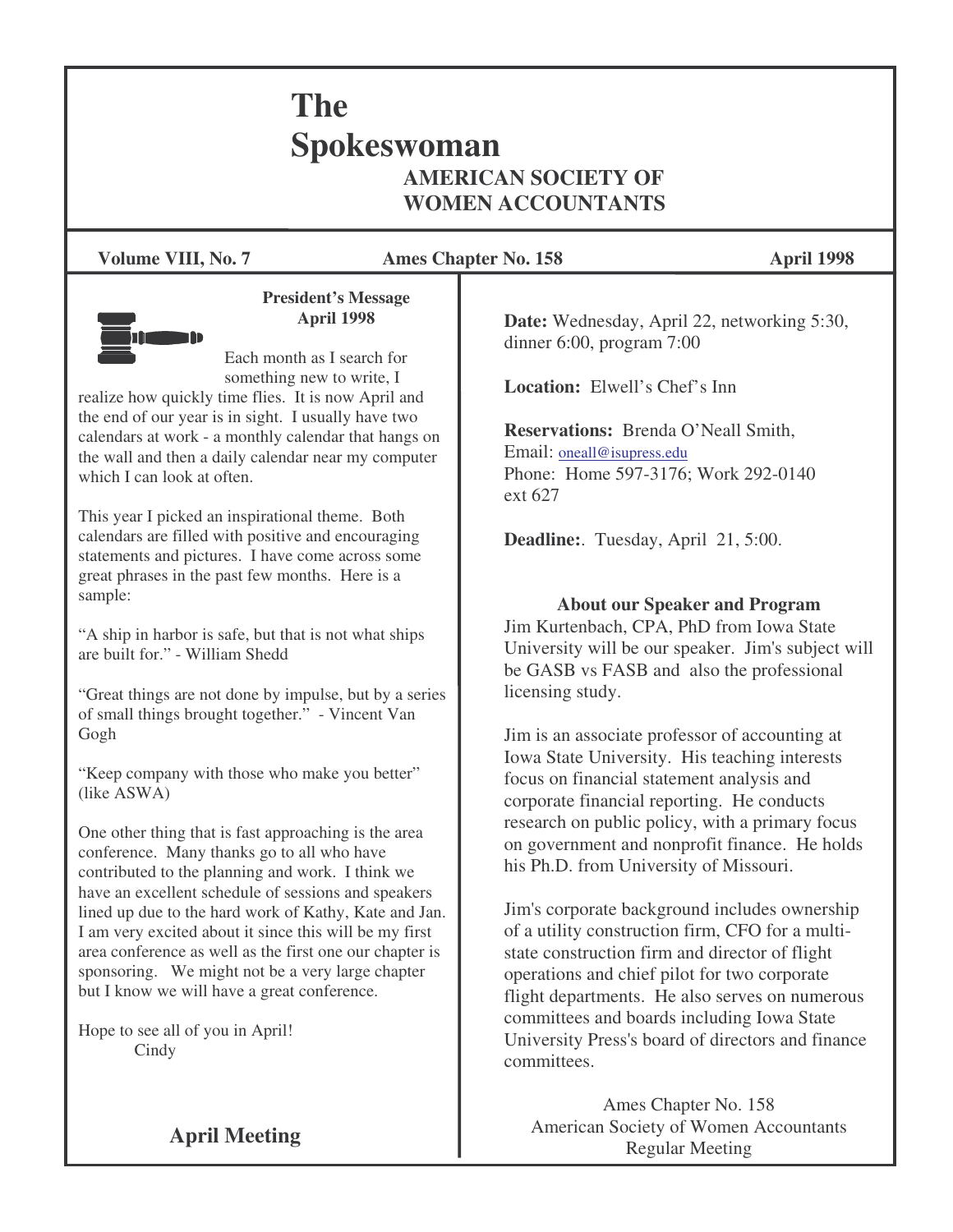# **The Spokeswoman AMERICAN SOCIETY OF WOMEN ACCOUNTANTS**

**Volume VIII, No. 7 Ames Chapter No. 158 April 1998**



**President's Message April 1998**

Each month as I search for something new to write, I

realize how quickly time flies. It is now April and the end of our year is in sight. I usually have two calendars at work - a monthly calendar that hangs on the wall and then a daily calendar near my computer which I can look at often.

This year I picked an inspirational theme. Both calendars are filled with positive and encouraging statements and pictures. I have come across some great phrases in the past few months. Here is a sample:

"A ship in harbor is safe, but that is not what ships are built for." - William Shedd.

"Great things are not done by impulse, but by a series of small things brought together." - Vincent Van Gogh

"Keep company with those who make you better" (like ASWA)

One other thing that is fast approaching is the area conference. Many thanks go to all who have contributed to the planning and work. I think we have an excellent schedule of sessions and speakers lined up due to the hard work of Kathy, Kate and Jan. I am very excited about it since this will be my first area conference as well as the first one our chapter is sponsoring. We might not be a very large chapter but I know we will have a great conference.

Hope to see all of you in April! **Cindy** 

**Date:** Wednesday, April 22, networking 5:30, dinner 6:00, program 7:00

**Location:** Elwell's Chef's Inn

**Reservations:** Brenda O'Neall Smith, Email: oneall@isupress.edu Phone: Home 597-3176; Work 292-0140 ext 627

**Deadline:**. Tuesday, April 21, 5:00.

**About our Speaker and Program**

Jim Kurtenbach, CPA, PhD from Iowa State University will be our speaker. Jim's subject will be GASB vs FASB and also the professional licensing study.

Jim is an associate professor of accounting at Iowa State University. His teaching interests focus on financial statement analysis and corporate financial reporting. He conducts research on public policy, with a primary focus on government and nonprofit finance. He holds his Ph.D. from University of Missouri.

Jim's corporate background includes ownership of a utility construction firm, CFO for a multistate construction firm and director of flight operations and chief pilot for two corporate flight departments. He also serves on numerous committees and boards including Iowa State University Press's board of directors and finance committees.

Ames Chapter No. 158 American Society of Women Accountants Regular Meeting

**April Meeting**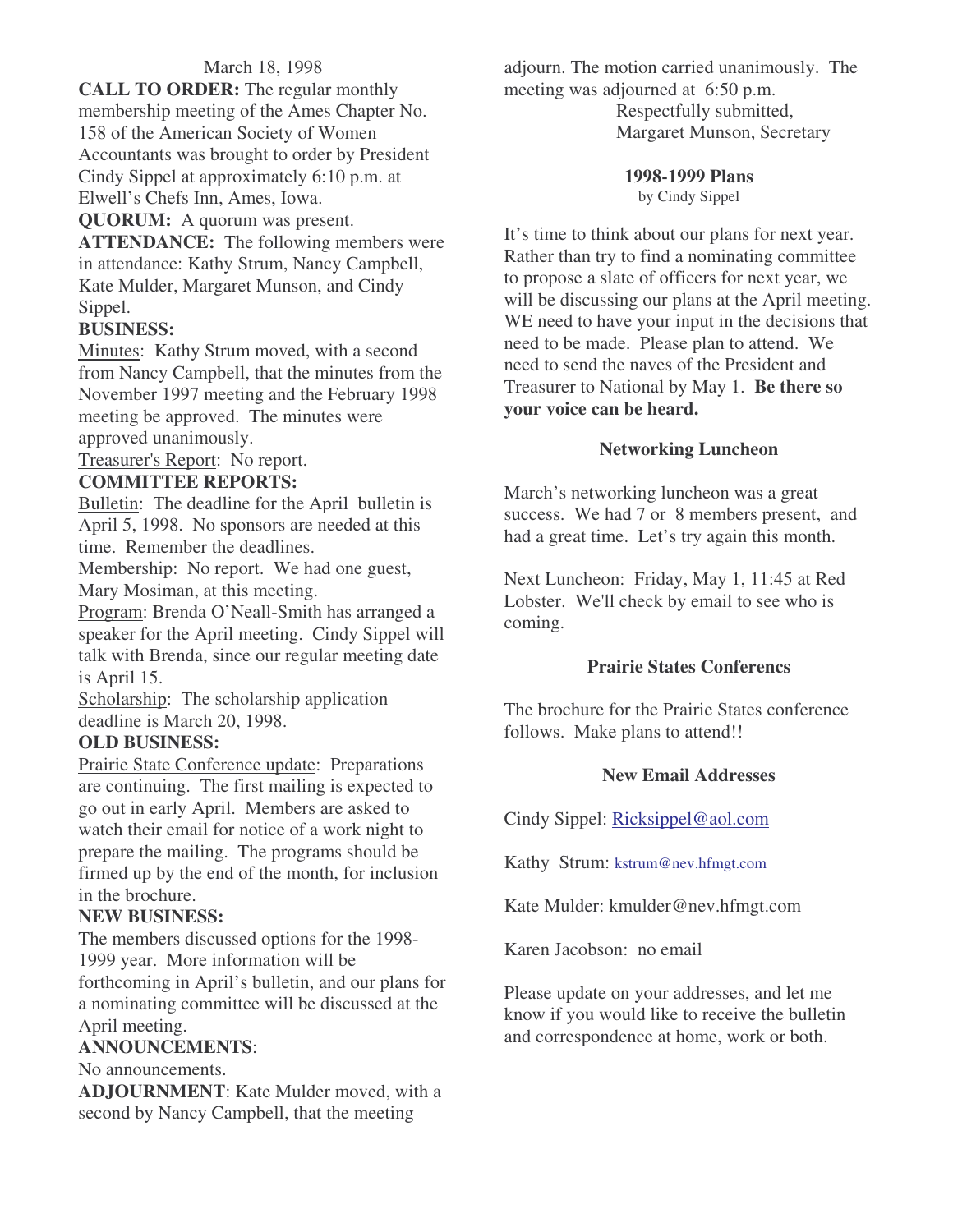### March 18, 1998

**CALL TO ORDER:** The regular monthly membership meeting of the Ames Chapter No. 158 of the American Society of Women Accountants was brought to order by President Cindy Sippel at approximately 6:10 p.m. at Elwell's Chefs Inn, Ames, Iowa.

**QUORUM:** A quorum was present.

**ATTENDANCE:** The following members were in attendance: Kathy Strum, Nancy Campbell, Kate Mulder, Margaret Munson, and Cindy Sippel.

### **BUSINESS:**

Minutes: Kathy Strum moved, with a second from Nancy Campbell, that the minutes from the November 1997 meeting and the February 1998 meeting be approved. The minutes were approved unanimously.

Treasurer's Report: No report.

### **COMMITTEE REPORTS:**

Bulletin: The deadline for the April bulletin is April 5, 1998. No sponsors are needed at this time. Remember the deadlines.

Membership: No report. We had one guest, Mary Mosiman, at this meeting.

Program: Brenda O'Neall-Smith has arranged a speaker for the April meeting. Cindy Sippel will talk with Brenda, since our regular meeting date is April 15.

Scholarship: The scholarship application deadline is March 20, 1998.

### **OLD BUSINESS:**

Prairie State Conference update: Preparations are continuing. The first mailing is expected to go out in early April. Members are asked to watch their email for notice of a work night to prepare the mailing. The programs should be firmed up by the end of the month, for inclusion in the brochure.

### **NEW BUSINESS:**

The members discussed options for the 1998- 1999 year. More information will be forthcoming in April's bulletin, and our plans for a nominating committee will be discussed at the April meeting.

### **ANNOUNCEMENTS**:

No announcements.

**ADJOURNMENT**: Kate Mulder moved, with a second by Nancy Campbell, that the meeting

adjourn. The motion carried unanimously. The meeting was adjourned at 6:50 p.m. Respectfully submitted, Margaret Munson, Secretary

### **1998-1999 Plans**

by Cindy Sippel

It's time to think about our plans for next year. Rather than try to find a nominating committee to propose a slate of officers for next year, we will be discussing our plans at the April meeting. WE need to have your input in the decisions that need to be made. Please plan to attend. We need to send the naves of the President and Treasurer to National by May 1. **Be there so your voice can be heard.**

### **Networking Luncheon**

March's networking luncheon was a great success. We had 7 or 8 members present, and had a great time. Let's try again this month.

Next Luncheon: Friday, May 1, 11:45 at Red Lobster. We'll check by email to see who is coming.

### **Prairie States Conferencs**

The brochure for the Prairie States conference follows. Make plans to attend!!

### **New Email Addresses**

Cindy Sippel: Ricksippel@aol.com

Kathy Strum: kstrum@nev.hfmgt.com

Kate Mulder: kmulder@nev.hfmgt.com

Karen Jacobson: no email

Please update on your addresses, and let me know if you would like to receive the bulletin and correspondence at home, work or both.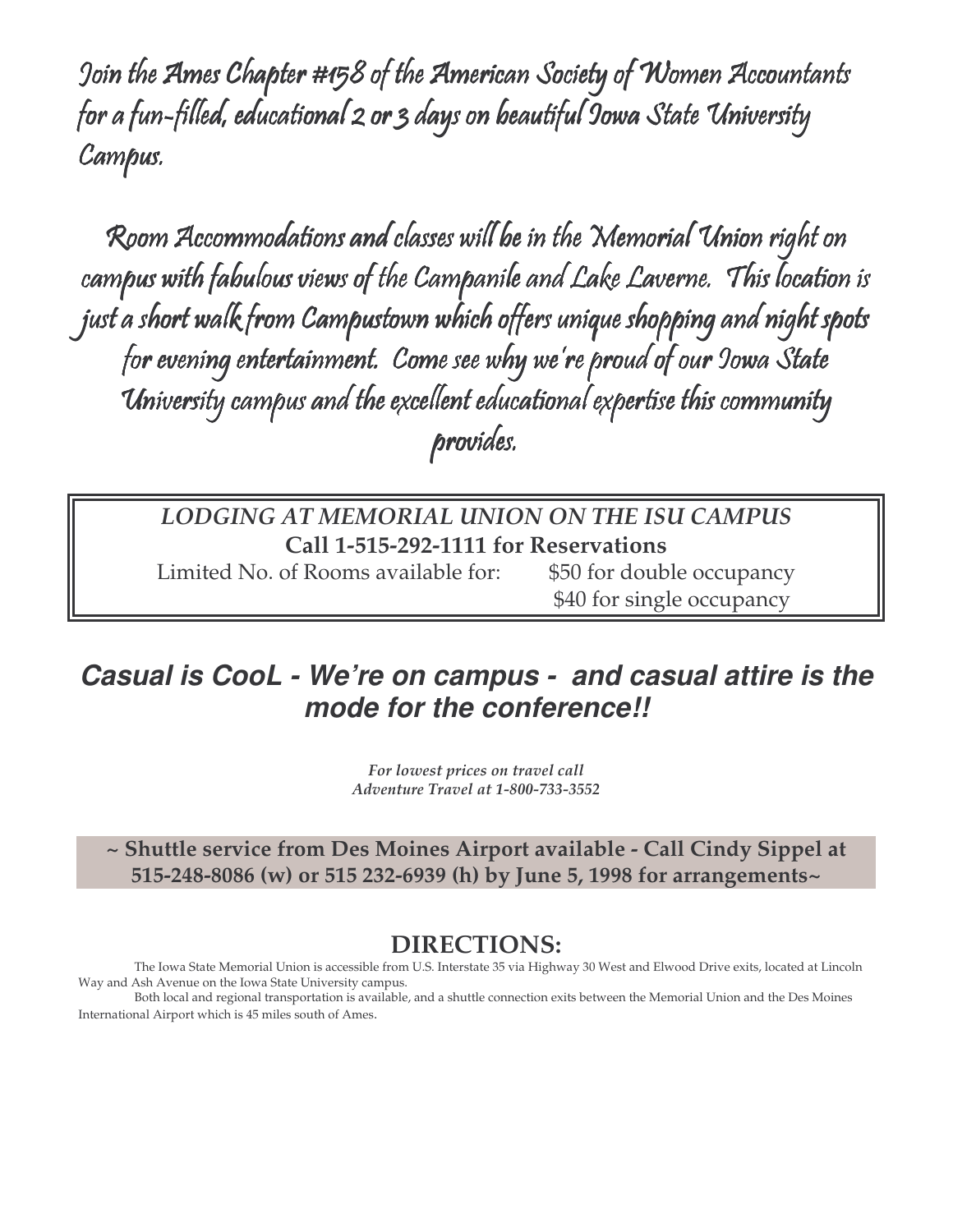Join the Ames Chapter #158 of the American Society of Women Accountants for a fun-filled, educational 2 or 3 days on beautiful 9owa State University Campus.

Room Accommodations and classes will be in the Memorial Union right on campus with fabulous views of the Campanile and Lake Laverne. This location is just a short walk from Campustown which offers unique shopping and night spots for evening entertainment. Come see why we're proud of our Jowa State University campus and the excellent educational expertise this community provides.

### *LODGING AT MEMORIAL UNION ON THE ISU CAMPUS* **Call 1-515-292-1111 for Reservations**

Limited No. of Rooms available for: \$50 for double occupancy

\$40 for single occupancy

# *Casual is CooL - We're on campus - and casual attire is the mode for the conference!!*

*For lowest prices on travel call Adventure Travel at 1-800-733-3552*

**~ Shuttle service from Des Moines Airport available - Call Cindy Sippel at 515-248-8086 (w) or 515 232-6939 (h) by June 5, 1998 for arrangements~**

### **DIRECTIONS:**

The Iowa State Memorial Union is accessible from U.S. Interstate 35 via Highway 30 West and Elwood Drive exits, located at Lincoln Way and Ash Avenue on the Iowa State University campus.

Both local and regional transportation is available, and a shuttle connection exits between the Memorial Union and the Des Moines International Airport which is 45 miles south of Ames.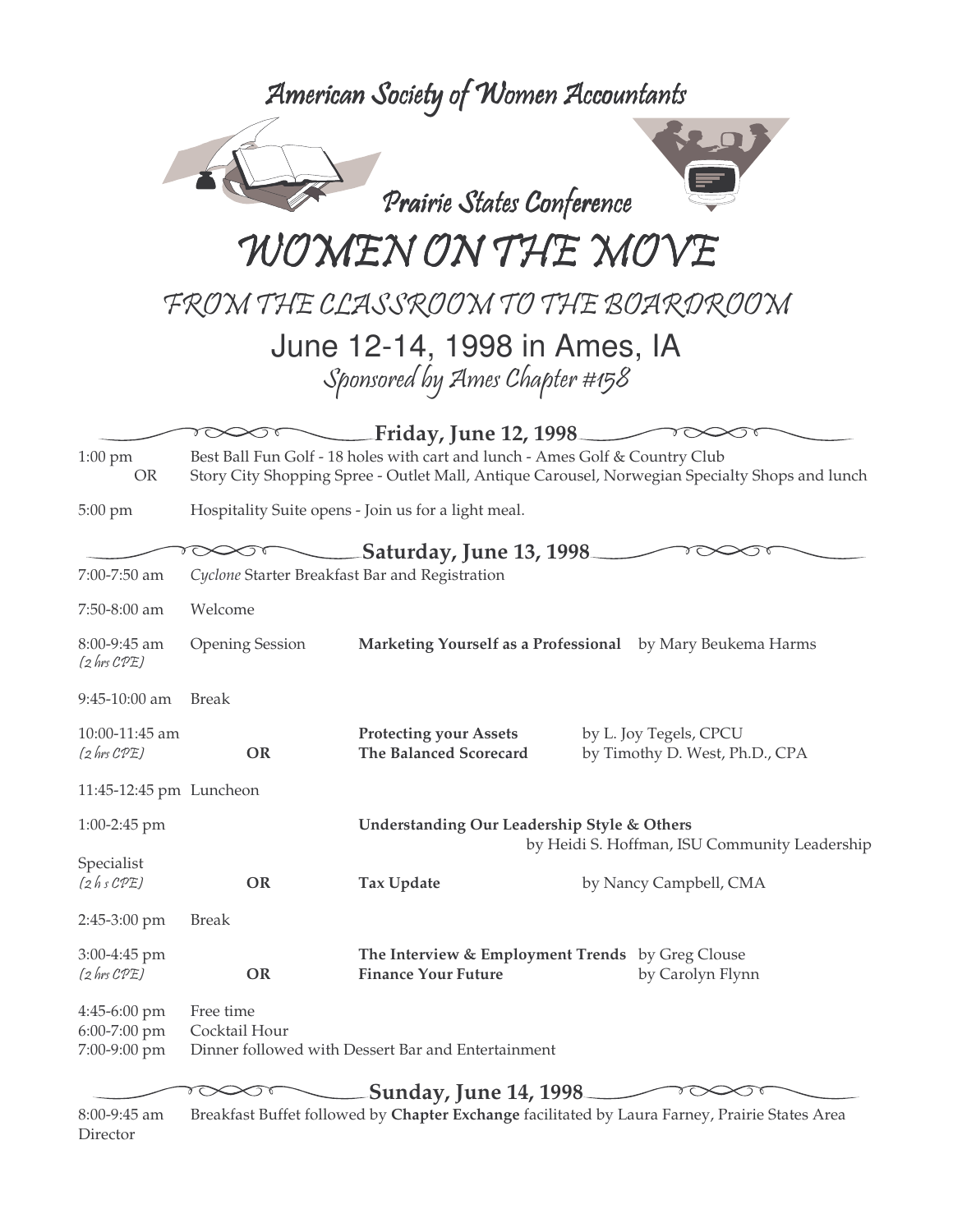American Society of Women Accountants

Prairie States Conference WOMEN ON THE MO

FROM THE CLASSROOM TO THE BOARDROOM

June 12-14, 1998 in Ames, IA Sponsored by Ames Chapter #158

**Friday, June 12, 1998** 1:00 pm Best Ball Fun Golf - 18 holes with cart and lunch - Ames Golf & Country Club OR Story City Shopping Spree - Outlet Mall, Antique Carousel, Norwegian Specialty Shops and lunch

5:00 pm Hospitality Suite opens - Join us for a light meal.

Director

|                                              |                                                                                                | Saturday, June 13, 1998                                                                      |                                                          |  |  |
|----------------------------------------------|------------------------------------------------------------------------------------------------|----------------------------------------------------------------------------------------------|----------------------------------------------------------|--|--|
| 7:00-7:50 am                                 | Cyclone Starter Breakfast Bar and Registration                                                 |                                                                                              |                                                          |  |  |
| 7:50-8:00 am                                 | Welcome                                                                                        |                                                                                              |                                                          |  |  |
| $8:00-9:45$ am<br>$(2 \text{ hrs } CPE)$     | <b>Opening Session</b>                                                                         | Marketing Yourself as a Professional by Mary Beukema Harms                                   |                                                          |  |  |
| 9:45-10:00 am                                | <b>Break</b>                                                                                   |                                                                                              |                                                          |  |  |
| 10:00-11:45 am<br>$(2 \text{ hrs } CPE)$     | <b>OR</b>                                                                                      | <b>Protecting your Assets</b><br><b>The Balanced Scorecard</b>                               | by L. Joy Tegels, CPCU<br>by Timothy D. West, Ph.D., CPA |  |  |
| 11:45-12:45 pm Luncheon                      |                                                                                                |                                                                                              |                                                          |  |  |
| $1:00-2:45$ pm                               |                                                                                                | Understanding Our Leadership Style & Others<br>by Heidi S. Hoffman, ISU Community Leadership |                                                          |  |  |
| Specialist<br>(2hsCPE)                       | <b>OR</b>                                                                                      | <b>Tax Update</b>                                                                            | by Nancy Campbell, CMA                                   |  |  |
| 2:45-3:00 pm                                 | <b>Break</b>                                                                                   |                                                                                              |                                                          |  |  |
| 3:00-4:45 pm<br>$(2 \text{ hrs } CPE)$       | <b>OR</b>                                                                                      | The Interview & Employment Trends by Greg Clouse<br><b>Finance Your Future</b>               | by Carolyn Flynn                                         |  |  |
| 4:45-6:00 pm<br>6:00-7:00 pm<br>7:00-9:00 pm | Free time<br>Cocktail Hour                                                                     | Dinner followed with Dessert Bar and Entertainment                                           |                                                          |  |  |
|                                              |                                                                                                | <b>Sunday, June 14, 1998</b>                                                                 |                                                          |  |  |
| 8:00-9:45 am                                 | Breakfast Buffet followed by Chapter Exchange facilitated by Laura Farney, Prairie States Area |                                                                                              |                                                          |  |  |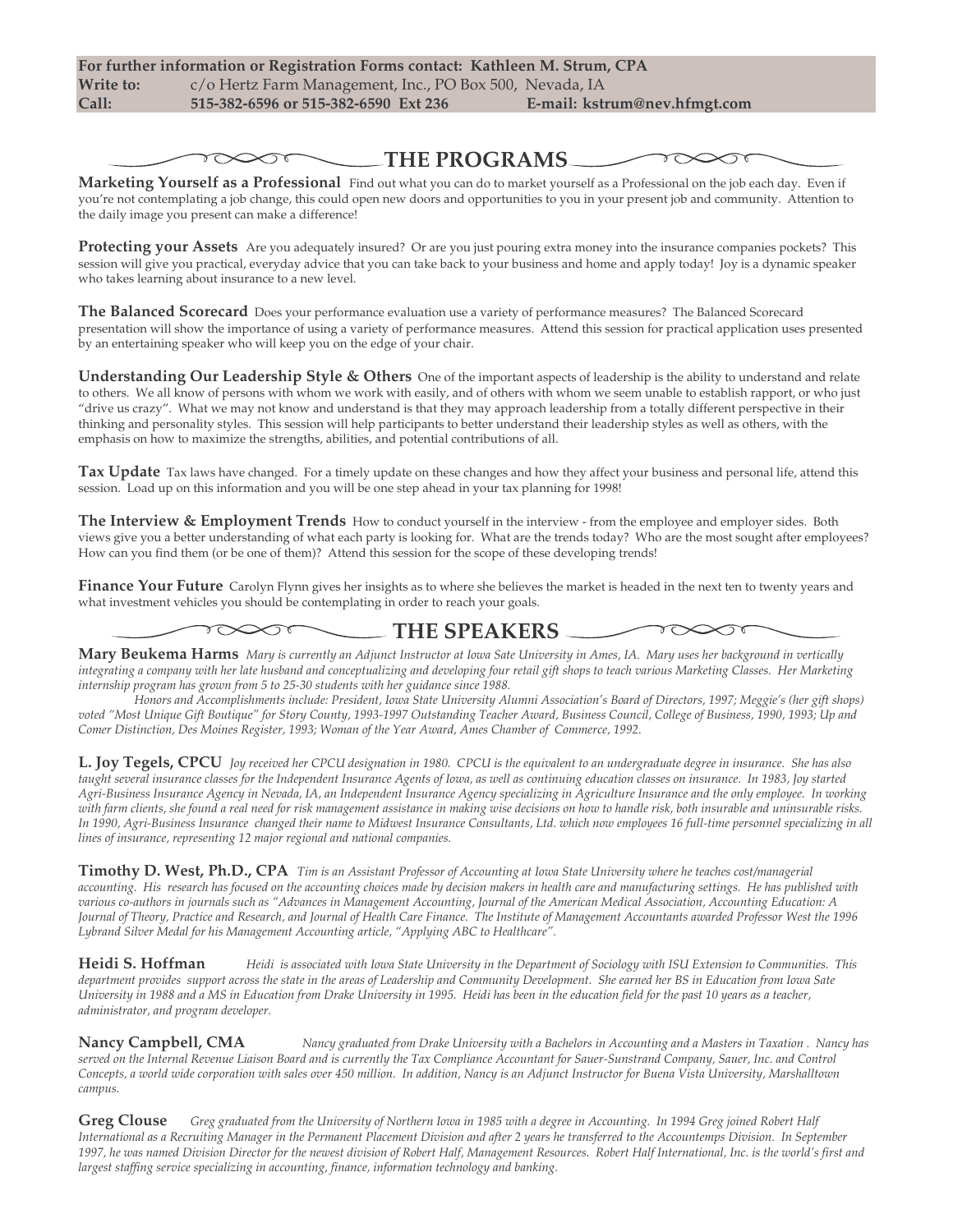$\gamma \infty$ 

**THE PROGRAMS**

ᅐᠫ

**Marketing Yourself as a Professional** Find out what you can do to market yourself as a Professional on the job each day. Even if you're not contemplating a job change, this could open new doors and opportunities to you in your present job and community. Attention to the daily image you present can make a difference!

**Protecting your Assets** Are you adequately insured? Or are you just pouring extra money into the insurance companies pockets? This session will give you practical, everyday advice that you can take back to your business and home and apply today! Joy is a dynamic speaker who takes learning about insurance to a new level.

**The Balanced Scorecard** Does your performance evaluation use a variety of performance measures? The Balanced Scorecard presentation will show the importance of using a variety of performance measures. Attend this session for practical application uses presented by an entertaining speaker who will keep you on the edge of your chair.

**Understanding Our Leadership Style & Others** One of the important aspects of leadership is the ability to understand and relate to others. We all know of persons with whom we work with easily, and of others with whom we seem unable to establish rapport, or who just "drive us crazy". What we may not know and understand is that they may approach leadership from a totally different perspective in their thinking and personality styles. This session will help participants to better understand their leadership styles as well as others, with the emphasis on how to maximize the strengths, abilities, and potential contributions of all.

**Tax Update** Tax laws have changed. For a timely update on these changes and how they affect your business and personal life, attend this session. Load up on this information and you will be one step ahead in your tax planning for 1998!

**The Interview & Employment Trends** How to conduct yourself in the interview - from the employee and employer sides. Both views give you a better understanding of what each party is looking for. What are the trends today? Who are the most sought after employees? How can you find them (or be one of them)? Attend this session for the scope of these developing trends!

**Finance Your Future** Carolyn Flynn gives her insights as to where she believes the market is headed in the next ten to twenty years and what investment vehicles you should be contemplating in order to reach your goals.

### **THE SPEAKERS**

Mary Beukema Harms Mary is currently an Adjunct Instructor at Iowa Sate University in Ames, IA. Mary uses her background in vertically integrating a company with her late husband and conceptualizing and developing four retail gift shops to teach various Marketing Classes. Her Marketing *internship program has grown from 5 to 25-30 students with her guidance since 1988.*

Honors and Accomplishments include: President, Iowa State University Alumni Association's Board of Directors, 1997; Meggie's (her gift shops) voted "Most Unique Gift Boutique" for Story County, 1993-1997 Outstanding Teacher Award, Business Council, College of Business, 1990, 1993; Up and *Comer Distinction, Des Moines Register, 1993; Woman of the Year Award, Ames Chamber of Commerce, 1992.*

L. Joy Tegels, CPCU Joy received her CPCU designation in 1980. CPCU is the equivalent to an undergraduate degree in insurance. She has also taught several insurance classes for the Independent Insurance Agents of Iowa, as well as continuing education classes on insurance. In 1983, Joy started Agri-Business Insurance Agency in Nevada, IA, an Independent Insurance Agency specializing in Agriculture Insurance and the only employee. In working with farm clients, she found a real need for risk management assistance in making wise decisions on how to handle risk, both insurable and uninsurable risks. In 1990, Agri-Business Insurance changed their name to Midwest Insurance Consultants, Ltd. which now employees 16 full-time personnel specializing in all *lines of insurance, representing 12 major regional and national companies.*

Timothy D. West, Ph.D., CPA Tim is an Assistant Professor of Accounting at Iowa State University where he teaches cost/managerial accounting. His research has focused on the accounting choices made by decision makers in health care and manufacturing settings. He has published with various co-authors in journals such as "Advances in Management Accounting, Journal of the American Medical Association, Accounting Education: A Journal of Theory, Practice and Research, and Journal of Health Care Finance. The Institute of Management Accountants awarded Professor West the 1996 *Lybrand Silver Medal for his Management Accounting article, "Applying ABC to Healthcare".*

Heidi S. Hoffman Heidi is associated with Iowa State University in the Department of Sociology with ISU Extension to Communities. This department provides support across the state in the areas of Leadership and Community Development. She earned her BS in Education from Iowa Sate University in 1988 and a MS in Education from Drake University in 1995. Heidi has been in the education field for the past 10 years as a teacher, *administrator, and program developer.*

Nancy Campbell, CMA Nancy graduated from Drake University with a Bachelors in Accounting and a Masters in Taxation . Nancy has served on the Internal Revenue Liaison Board and is currently the Tax Compliance Accountant for Sauer-Sunstrand Company, Sauer, Inc. and Control Concepts, a world wide corporation with sales over 450 million. In addition, Nancy is an Adjunct Instructor for Buena Vista University, Marshalltown *campus.*

Greg Clouse Greg graduated from the University of Northern Iowa in 1985 with a degree in Accounting. In 1994 Greg joined Robert Half International as a Recruiting Manager in the Permanent Placement Division and after 2 years he transferred to the Accountemps Division. In September 1997, he was named Division Director for the newest division of Robert Half, Management Resources. Robert Half International, Inc. is the world's first and *largest staffing service specializing in accounting, finance, information technology and banking.*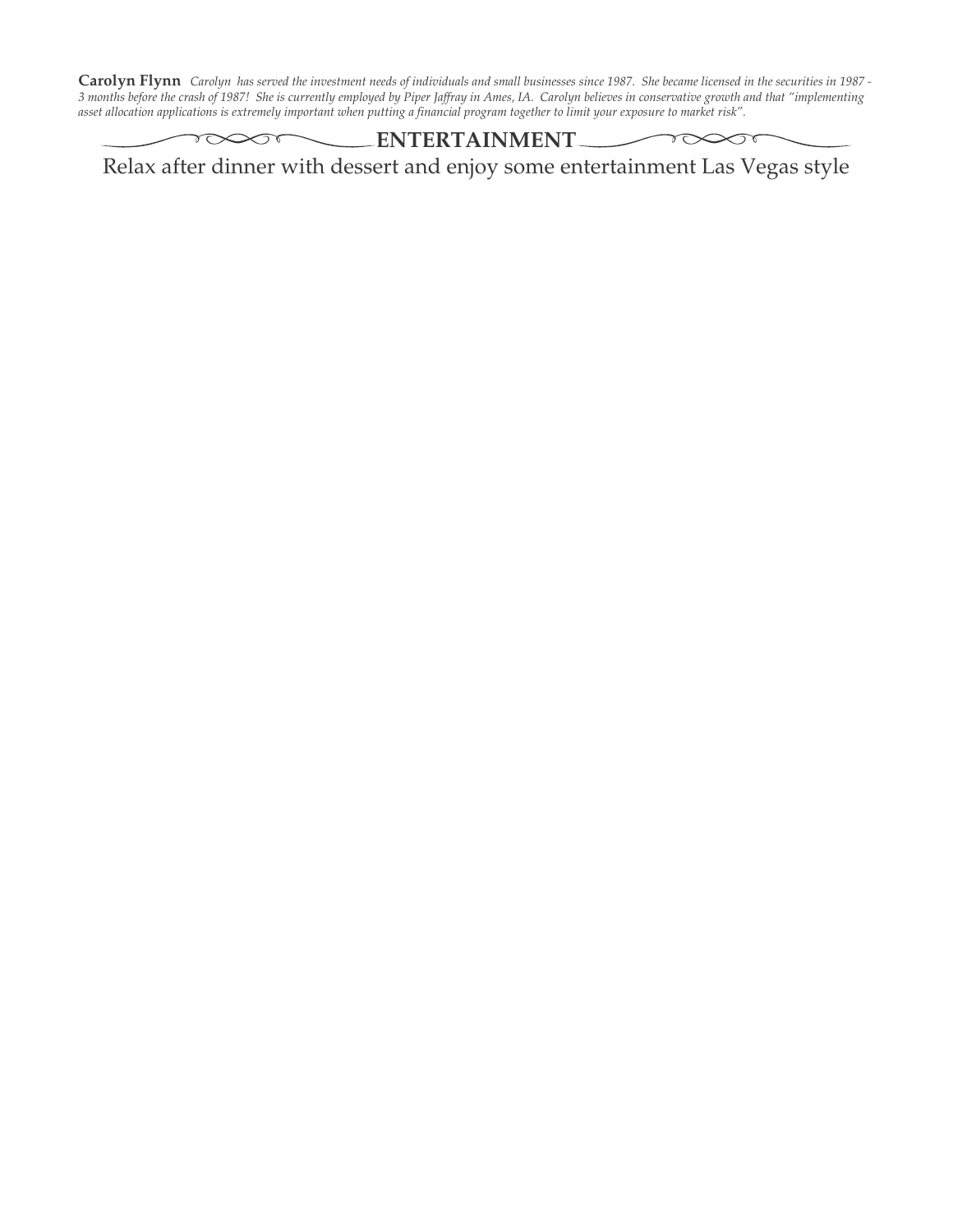Carolyn Flynn Carolyn has served the investment needs of individuals and small businesses since 1987. She became licensed in the securities in 1987 -3 months before the crash of 1987! She is currently employed by Piper Jaffray in Ames, IA. Carolyn believes in conservative growth and that "implementing asset allocation applications is extremely important when putting a financial program together to limit your exposure to market risk".

### **ENTERTAINMENT**

 $\gamma \infty$ 

Relax after dinner with dessert and enjoy some entertainment Las Vegas style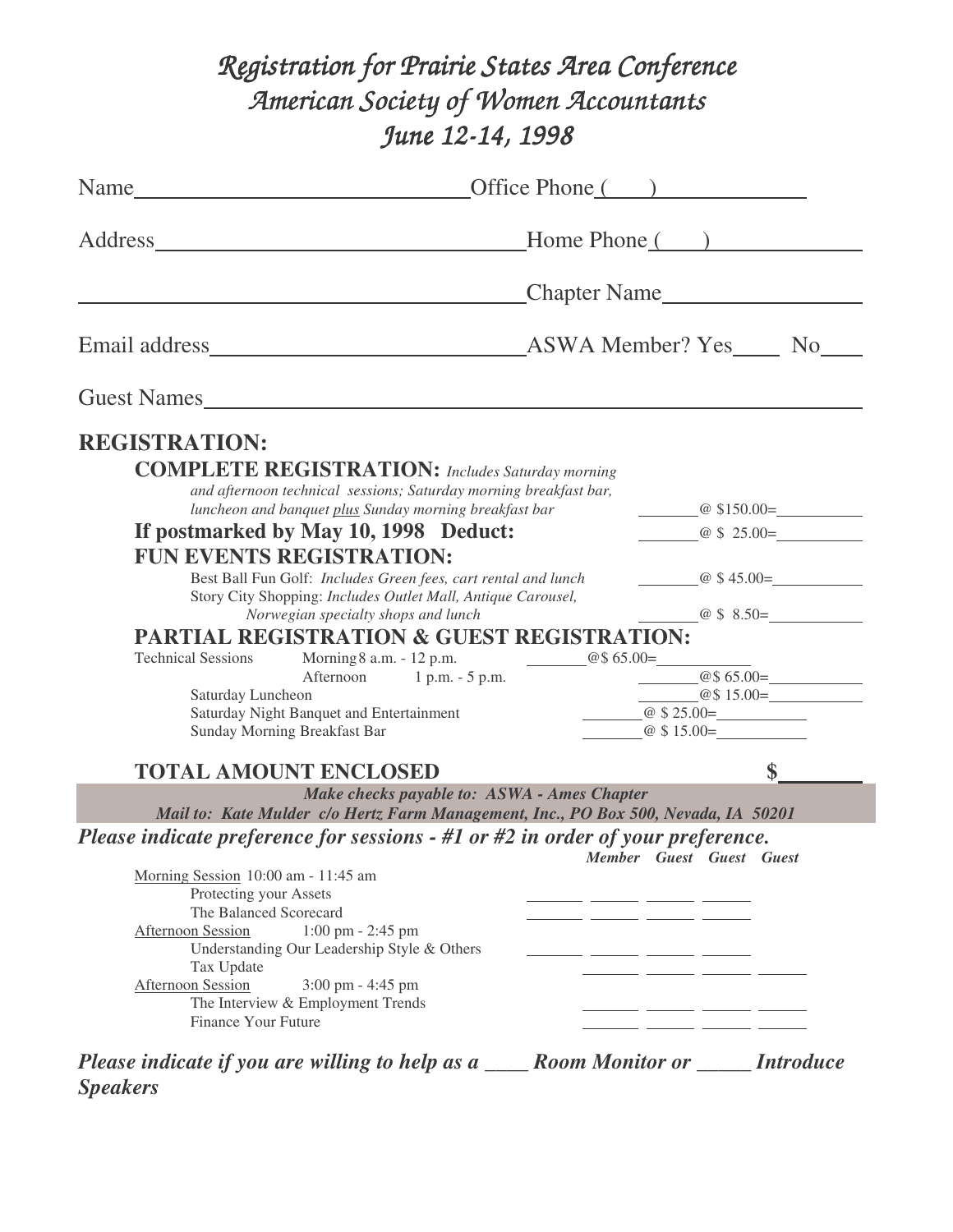# *Registration for Prairie States Area Conference American Society of Women Accountants June 12-14, 1998*

|                                        |                                                                                    | Home Phone () |                                       |  |
|----------------------------------------|------------------------------------------------------------------------------------|---------------|---------------------------------------|--|
|                                        |                                                                                    |               | Chapter Name                          |  |
|                                        |                                                                                    |               |                                       |  |
|                                        | Guest Names                                                                        |               |                                       |  |
| <b>REGISTRATION:</b>                   |                                                                                    |               |                                       |  |
|                                        | <b>COMPLETE REGISTRATION:</b> Includes Saturday morning                            |               |                                       |  |
|                                        | and afternoon technical sessions; Saturday morning breakfast bar,                  |               |                                       |  |
|                                        | luncheon and banquet plus Sunday morning breakfast bar                             |               | $\omega$ \$150.00 =                   |  |
|                                        | If postmarked by May 10, 1998 Deduct:                                              |               | $\omega$ \$ 25.00=                    |  |
|                                        | <b>FUN EVENTS REGISTRATION:</b>                                                    |               |                                       |  |
|                                        | Best Ball Fun Golf: Includes Green fees, cart rental and lunch                     |               | $@$45.00=$                            |  |
|                                        | Story City Shopping: Includes Outlet Mall, Antique Carousel,                       |               |                                       |  |
|                                        | Norwegian specialty shops and lunch                                                |               | $\overline{a}$ \$ 8.50=               |  |
|                                        | <b>PARTIAL REGISTRATION &amp; GUEST REGISTRATION:</b>                              |               |                                       |  |
|                                        | Technical Sessions Morning 8 a.m. - 12 p.m. $@$65.00=$                             |               |                                       |  |
|                                        | Afternoon 1 p.m. - 5 p.m.                                                          |               | $@$65.00=$                            |  |
| Saturday Luncheon                      |                                                                                    |               | $@$15.00=$                            |  |
|                                        | Saturday Night Banquet and Entertainment                                           |               | $\frac{1}{2}$ $\frac{1}{2}$ \$ 25.00= |  |
|                                        | Sunday Morning Breakfast Bar                                                       |               | $\omega$ \$ 15.00=                    |  |
|                                        | <b>TOTAL AMOUNT ENCLOSED</b>                                                       |               | $\sim$                                |  |
|                                        | Make checks payable to: ASWA - Ames Chapter                                        |               |                                       |  |
|                                        | Mail to: Kate Mulder c/o Hertz Farm Management, Inc., PO Box 500, Nevada, IA 50201 |               |                                       |  |
|                                        | Please indicate preference for sessions $-$ #1 or #2 in order of your preference.  |               |                                       |  |
|                                        |                                                                                    |               | Member Guest Guest Guest              |  |
| Morning Session 10:00 am - 11:45 am    |                                                                                    |               |                                       |  |
| Protecting your Assets                 |                                                                                    |               |                                       |  |
| The Balanced Scorecard                 |                                                                                    |               |                                       |  |
| <b>Afternoon Session</b>               | 1:00 pm - 2:45 pm                                                                  |               |                                       |  |
|                                        | Understanding Our Leadership Style & Others                                        |               |                                       |  |
| Tax Update<br><b>Afternoon Session</b> | 3:00 pm - 4:45 pm                                                                  |               |                                       |  |
|                                        | The Interview & Employment Trends                                                  |               |                                       |  |
| <b>Finance Your Future</b>             |                                                                                    |               |                                       |  |
|                                        |                                                                                    |               |                                       |  |
|                                        |                                                                                    |               |                                       |  |

*Please indicate if you are willing to help as a \_\_\_\_ Room Monitor or \_\_\_\_\_ Introduce Speakers*